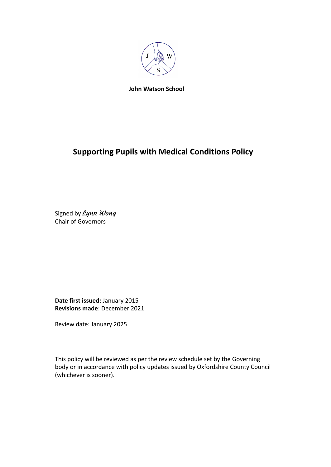

**John Watson School**

# **Supporting Pupils with Medical Conditions Policy**

Signed by Lynn Wong Chair of Governors

**Date first issued:** January 2015 **Revisions made**: December 2021

Review date: January 2025

This policy will be reviewed as per the review schedule set by the Governing body or in accordance with policy updates issued by Oxfordshire County Council (whichever is sooner).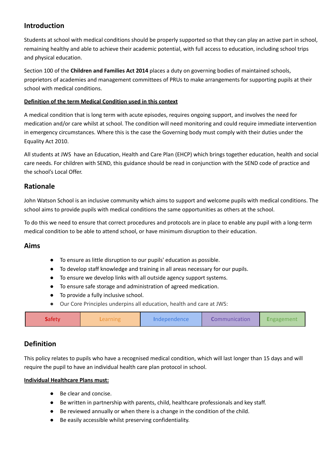# **Introduction**

Students at school with medical conditions should be properly supported so that they can play an active part in school, remaining healthy and able to achieve their academic potential, with full access to education, including school trips and physical education.

Section 100 of the **Children and Families Act 2014** places a duty on governing bodies of maintained schools, proprietors of academies and management committees of PRUs to make arrangements for supporting pupils at their school with medical conditions.

### **Definition of the term Medical Condition used in this context**

A medical condition that is long term with acute episodes, requires ongoing support, and involves the need for medication and/or care whilst at school. The condition will need monitoring and could require immediate intervention in emergency circumstances. Where this is the case the Governing body must comply with their duties under the Equality Act 2010.

All students at JWS have an Education, Health and Care Plan (EHCP) which brings together education, health and social care needs. For children with SEND, this guidance should be read in conjunction with the SEND code of practice and the school's Local Offer.

## **Rationale**

John Watson School is an inclusive community which aims to support and welcome pupils with medical conditions. The school aims to provide pupils with medical conditions the same opportunities as others at the school.

To do this we need to ensure that correct procedures and protocols are in place to enable any pupil with a long-term medical condition to be able to attend school, or have minimum disruption to their education.

### **Aims**

- To ensure as little disruption to our pupils' education as possible.
- To develop staff knowledge and training in all areas necessary for our pupils.
- To ensure we develop links with all outside agency support systems.
- To ensure safe storage and administration of agreed medication.
- To provide a fully inclusive school.
- Our Core Principles underpins all education, health and care at JWS:

| <b>Safety</b><br>Independence<br>.earning | <b>Communication</b> | rngagement. |
|-------------------------------------------|----------------------|-------------|
|-------------------------------------------|----------------------|-------------|

# **Definition**

This policy relates to pupils who have a recognised medical condition, which will last longer than 15 days and will require the pupil to have an individual health care plan protocol in school.

#### **Individual Healthcare Plans must:**

- Be clear and concise.
- Be written in partnership with parents, child, healthcare professionals and key staff.
- Be reviewed annually or when there is a change in the condition of the child.
- Be easily accessible whilst preserving confidentiality.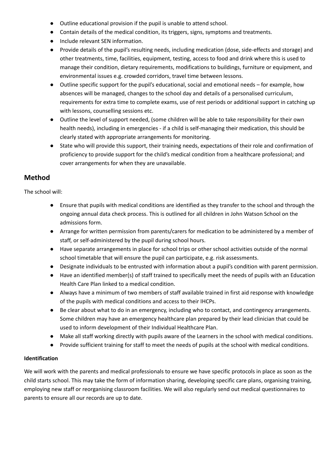- Outline educational provision if the pupil is unable to attend school.
- Contain details of the medical condition, its triggers, signs, symptoms and treatments.
- Include relevant SEN information.
- Provide details of the pupil's resulting needs, including medication (dose, side-effects and storage) and other treatments, time, facilities, equipment, testing, access to food and drink where this is used to manage their condition, dietary requirements, modifications to buildings, furniture or equipment, and environmental issues e.g. crowded corridors, travel time between lessons.
- Outline specific support for the pupil's educational, social and emotional needs for example, how absences will be managed, changes to the school day and details of a personalised curriculum, requirements for extra time to complete exams, use of rest periods or additional support in catching up with lessons, counselling sessions etc.
- Outline the level of support needed, (some children will be able to take responsibility for their own health needs), including in emergencies - if a child is self-managing their medication, this should be clearly stated with appropriate arrangements for monitoring.
- State who will provide this support, their training needs, expectations of their role and confirmation of proficiency to provide support for the child's medical condition from a healthcare professional; and cover arrangements for when they are unavailable.

# **Method**

The school will:

- Ensure that pupils with medical conditions are identified as they transfer to the school and through the ongoing annual data check process. This is outlined for all children in John Watson School on the admissions form.
- Arrange for written permission from parents/carers for medication to be administered by a member of staff, or self-administered by the pupil during school hours.
- Have separate arrangements in place for school trips or other school activities outside of the normal school timetable that will ensure the pupil can participate, e.g. risk assessments.
- Designate individuals to be entrusted with information about a pupil's condition with parent permission.
- Have an identified member(s) of staff trained to specifically meet the needs of pupils with an Education Health Care Plan linked to a medical condition.
- Always have a minimum of two members of staff available trained in first aid response with knowledge of the pupils with medical conditions and access to their IHCPs.
- Be clear about what to do in an emergency, including who to contact, and contingency arrangements. Some children may have an emergency healthcare plan prepared by their lead clinician that could be used to inform development of their Individual Healthcare Plan.
- Make all staff working directly with pupils aware of the Learners in the school with medical conditions.
- Provide sufficient training for staff to meet the needs of pupils at the school with medical conditions.

### **Identification**

We will work with the parents and medical professionals to ensure we have specific protocols in place as soon as the child starts school. This may take the form of information sharing, developing specific care plans, organising training, employing new staff or reorganising classroom facilities. We will also regularly send out medical questionnaires to parents to ensure all our records are up to date.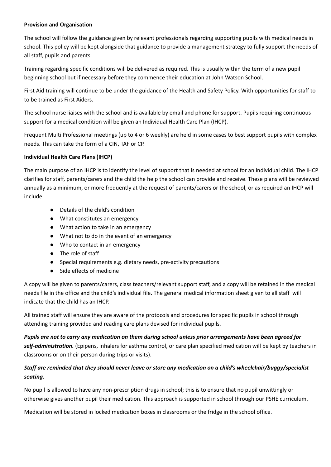#### **Provision and Organisation**

The school will follow the guidance given by relevant professionals regarding supporting pupils with medical needs in school. This policy will be kept alongside that guidance to provide a management strategy to fully support the needs of all staff, pupils and parents.

Training regarding specific conditions will be delivered as required. This is usually within the term of a new pupil beginning school but if necessary before they commence their education at John Watson School.

First Aid training will continue to be under the guidance of the Health and Safety Policy. With opportunities for staff to to be trained as First Aiders.

The school nurse liaises with the school and is available by email and phone for support. Pupils requiring continuous support for a medical condition will be given an Individual Health Care Plan (IHCP).

Frequent Multi Professional meetings (up to 4 or 6 weekly) are held in some cases to best support pupils with complex needs. This can take the form of a CIN, TAF or CP.

#### **Individual Health Care Plans (IHCP)**

The main purpose of an IHCP is to identify the level of support that is needed at school for an individual child. The IHCP clarifies for staff, parents/carers and the child the help the school can provide and receive. These plans will be reviewed annually as a minimum, or more frequently at the request of parents/carers or the school, or as required an IHCP will include:

- Details of the child's condition
- What constitutes an emergency
- What action to take in an emergency
- What not to do in the event of an emergency
- Who to contact in an emergency
- The role of staff
- Special requirements e.g. dietary needs, pre-activity precautions
- Side effects of medicine

A copy will be given to parents/carers, class teachers/relevant support staff, and a copy will be retained in the medical needs file in the office and the child's individual file. The general medical information sheet given to all staff will indicate that the child has an IHCP.

All trained staff will ensure they are aware of the protocols and procedures for specific pupils in school through attending training provided and reading care plans devised for individual pupils.

Pupils are not to carry any medication on them during school unless prior arrangements have been agreed for *self-administration.* (Epipens, inhalers for asthma control, or care plan specified medication will be kept by teachers in classrooms or on their person during trips or visits).

### *Staff are reminded that they should never leave or store any medication on a child's wheelchair/buggy/specialist seating.*

No pupil is allowed to have any non-prescription drugs in school; this is to ensure that no pupil unwittingly or otherwise gives another pupil their medication. This approach is supported in school through our PSHE curriculum.

Medication will be stored in locked medication boxes in classrooms or the fridge in the school office.